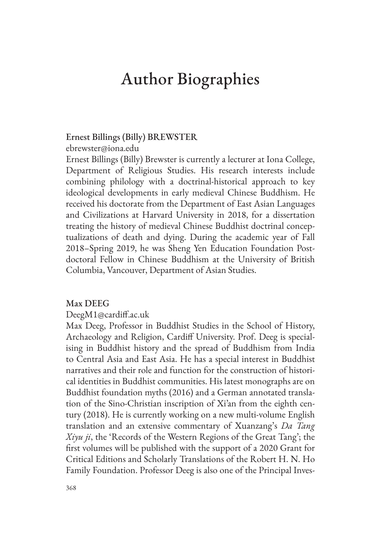# Author Biographies

# Ernest Billings (Billy) BREWSTER

ebrewster@iona.edu

Ernest Billings (Billy) Brewster is currently a lecturer at Iona College, Department of Religious Studies. His research interests include combining philology with a doctrinal-historical approach to key ideological developments in early medieval Chinese Buddhism. He received his doctorate from the Department of East Asian Languages and Civilizations at Harvard University in 2018, for a dissertation treating the history of medieval Chinese Buddhist doctrinal conceptualizations of death and dying. During the academic year of Fall 2018–Spring 2019, he was Sheng Yen Education Foundation Postdoctoral Fellow in Chinese Buddhism at the University of British Columbia, Vancouver, Department of Asian Studies.

#### Max DEEG

#### DeegM1@cardiff.ac.uk

Max Deeg, Professor in Buddhist Studies in the School of History, Archaeology and Religion, Cardiff University. Prof. Deeg is specialising in Buddhist history and the spread of Buddhism from India to Central Asia and East Asia. He has a special interest in Buddhist narratives and their role and function for the construction of historical identities in Buddhist communities. His latest monographs are on Buddhist foundation myths (2016) and a German annotated translation of the Sino-Christian inscription of Xi'an from the eighth century (2018). He is currently working on a new multi-volume English translation and an extensive commentary of Xuanzang's *Da Tang Xiyu ji*, the 'Records of the Western Regions of the Great Tang'; the first volumes will be published with the support of a 2020 Grant for Critical Editions and Scholarly Translations of the Robert H. N. Ho Family Foundation. Professor Deeg is also one of the Principal Inves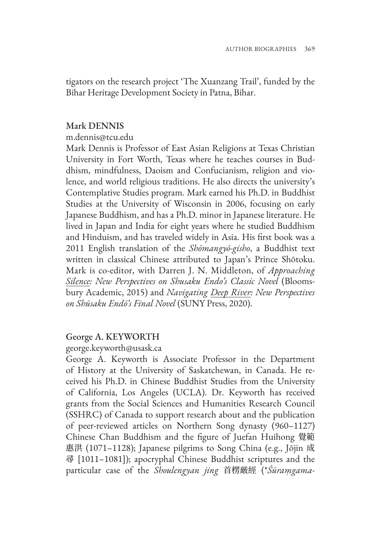tigators on the research project 'The Xuanzang Trail', funded by the Bihar Heritage Development Society in Patna, Bihar.

#### Mark DENNIS

#### m.dennis@tcu.edu

Mark Dennis is Professor of East Asian Religions at Texas Christian University in Fort Worth, Texas where he teaches courses in Buddhism, mindfulness, Daoism and Confucianism, religion and violence, and world religious traditions. He also directs the university's Contemplative Studies program. Mark earned his Ph.D. in Buddhist Studies at the University of Wisconsin in 2006, focusing on early Japanese Buddhism, and has a Ph.D. minor in Japanese literature. He lived in Japan and India for eight years where he studied Buddhism and Hinduism, and has traveled widely in Asia. His first book was a 2011 English translation of the *Shōmangyō-gisho*, a Buddhist text written in classical Chinese attributed to Japan's Prince Shōtoku. Mark is co-editor, with Darren J. N. Middleton, of *Approaching Silence: New Perspectives on Shusaku Endo's Classic Novel* (Bloomsbury Academic, 2015) and *Navigating Deep River: New Perspectives on Shūsaku Endō's Final Novel* (SUNY Press, 2020).

# George A. KEYWORTH

#### george.keyworth@usask.ca

George A. Keyworth is Associate Professor in the Department of History at the University of Saskatchewan, in Canada. He received his Ph.D. in Chinese Buddhist Studies from the University of California, Los Angeles (UCLA). Dr. Keyworth has received grants from the Social Sciences and Humanities Research Council (SSHRC) of Canada to support research about and the publication of peer-reviewed articles on Northern Song dynasty (960–1127) Chinese Chan Buddhism and the figure of Juefan Huihong 覺範 惠洪 (1071–1128); Japanese pilgrims to Song China (e.g., Jōjin 成 尋 [1011–1081]); apocryphal Chinese Buddhist scriptures and the particular case of the *Shoulengyan jing* 首楞厳經 (\**Śūraṃgama-*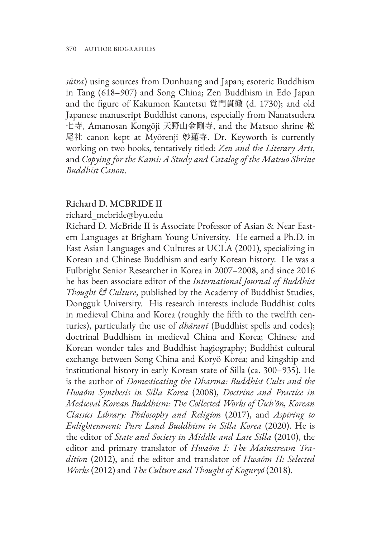*sūtra*) using sources from Dunhuang and Japan; esoteric Buddhism in Tang (618–907) and Song China; Zen Buddhism in Edo Japan and the figure of Kakumon Kantetsu 覚門貫徹 (d. 1730); and old Japanese manuscript Buddhist canons, especially from Nanatsudera 七寺, Amanosan Kongōji 天野山金剛寺, and the Matsuo shrine 松 尾社 canon kept at Myōrenji 妙蓮寺. Dr. Keyworth is currently working on two books, tentatively titled: *Zen and the Literary Arts*, and *Copying for the Kami: A Study and Catalog of the Matsuo Shrine Buddhist Canon*.

#### Richard D. MCBRIDE II

richard\_mcbride@byu.edu

Richard D. McBride II is Associate Professor of Asian & Near Eastern Languages at Brigham Young University. He earned a Ph.D. in East Asian Languages and Cultures at UCLA (2001), specializing in Korean and Chinese Buddhism and early Korean history. He was a Fulbright Senior Researcher in Korea in 2007–2008, and since 2016 he has been associate editor of the *International Journal of Buddhist Thought & Culture*, published by the Academy of Buddhist Studies, Dongguk University. His research interests include Buddhist cults in medieval China and Korea (roughly the fifth to the twelfth centuries), particularly the use of *dhāraṇī* (Buddhist spells and codes); doctrinal Buddhism in medieval China and Korea; Chinese and Korean wonder tales and Buddhist hagiography; Buddhist cultural exchange between Song China and Koryŏ Korea; and kingship and institutional history in early Korean state of Silla (ca. 300–935). He is the author of *Domesticating the Dharma: Buddhist Cults and the Hwaŏm Synthesis in Silla Korea* (2008), *Doctrine and Practice in Medieval Korean Buddhism: The Collected Works of Ŭich'ŏn, Korean Classics Library: Philosophy and Religion* (2017), and *Aspiring to Enlightenment: Pure Land Buddhism in Silla Korea* (2020). He is the editor of *State and Society in Middle and Late Silla* (2010), the editor and primary translator of *Hwaŏm I: The Mainstream Tradition* (2012), and the editor and translator of *Hwaŏm II: Selected Works* (2012) and *The Culture and Thought of Koguryŏ* (2018).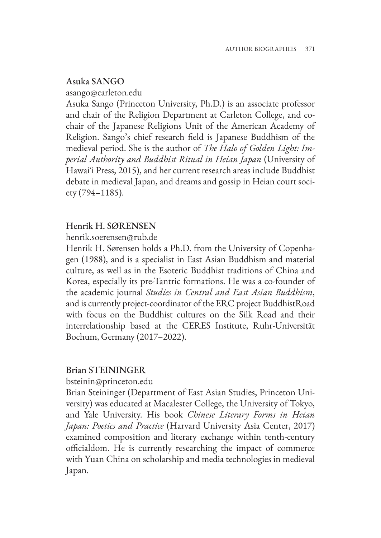# Asuka SANGO

asango@carleton.edu

Asuka Sango (Princeton University, Ph.D.) is an associate professor and chair of the Religion Department at Carleton College, and cochair of the Japanese Religions Unit of the American Academy of Religion. Sango's chief research field is Japanese Buddhism of the medieval period. She is the author of *The Halo of Golden Light: Imperial Authority and Buddhist Ritual in Heian Japan* (University of Hawaiʻi Press, 2015), and her current research areas include Buddhist debate in medieval Japan, and dreams and gossip in Heian court society (794–1185).

# Henrik H. SØRENSEN

henrik.soerensen@rub.de

Henrik H. Sørensen holds a Ph.D. from the University of Copenhagen (1988), and is a specialist in East Asian Buddhism and material culture, as well as in the Esoteric Buddhist traditions of China and Korea, especially its pre-Tantric formations. He was a co-founder of the academic journal *Studies in Central and East Asian Buddhism*, and is currently project-coordinator of the ERC project BuddhistRoad with focus on the Buddhist cultures on the Silk Road and their interrelationship based at the CERES Institute, Ruhr-Universität Bochum, Germany (2017–2022).

# Brian STEININGER

bsteinin@princeton.edu

Brian Steininger (Department of East Asian Studies, Princeton University) was educated at Macalester College, the University of Tokyo, and Yale University. His book *Chinese Literary Forms in Heian Japan: Poetics and Practice* (Harvard University Asia Center, 2017) examined composition and literary exchange within tenth-century officialdom. He is currently researching the impact of commerce with Yuan China on scholarship and media technologies in medieval Japan.